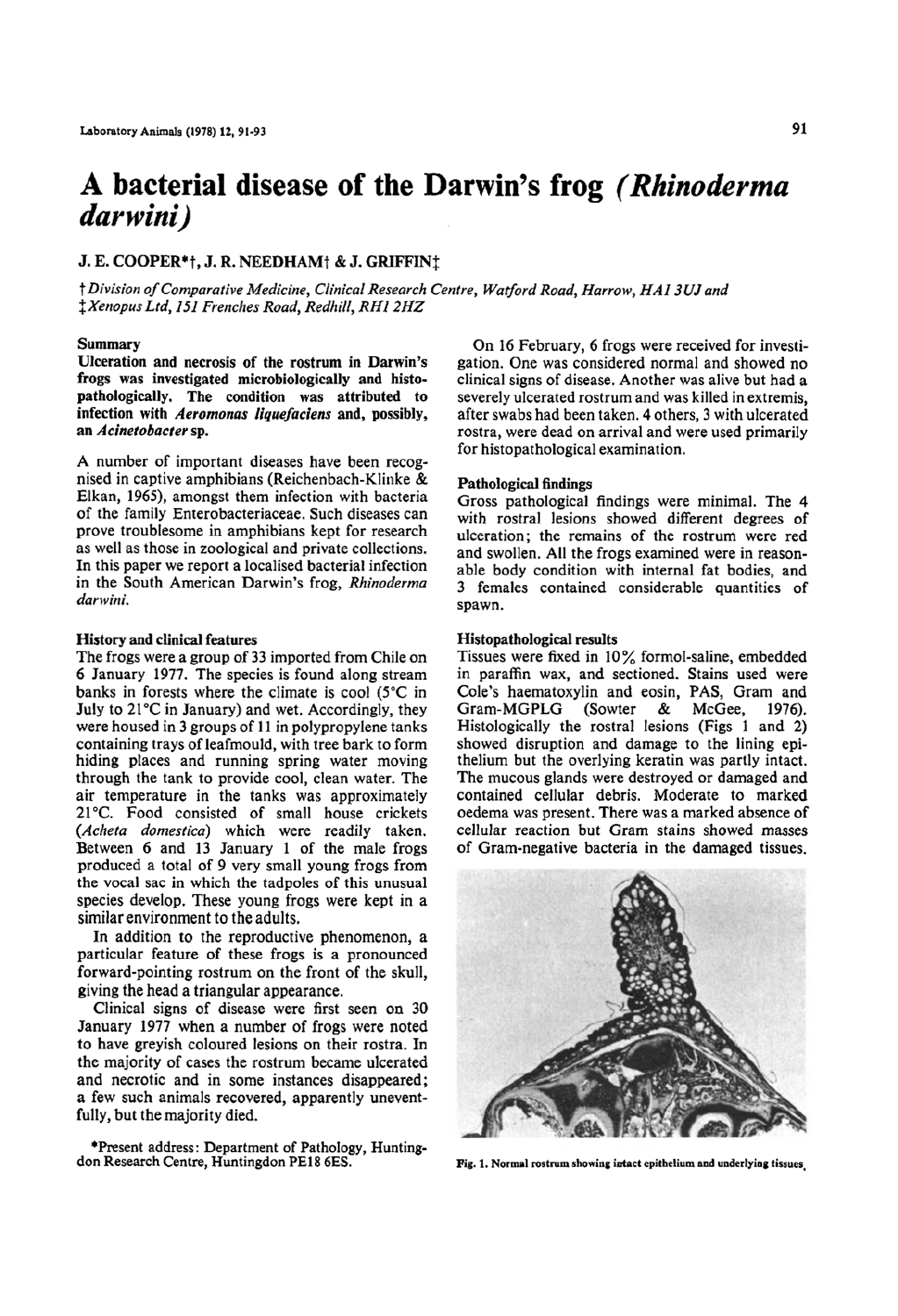# A bacterial disease of the Darwin's frog (Rhinoderma darwini)

# J. E. COOPER\*†, J. R. NEEDHAM† & J. GRIFFIN‡

† Division of Comparative Medicine, Clinical Research Centre, Watford Road, Harrow, HA1 3UJ and *\*Xenopus Ltd, 151 Frenches Road, Redhill, RH1 2HZ* 

#### Summarv

Ulceration and necrosis of the rostrum in Darwin's frogs was investigated microbiologically and histopathologically. The condition was attributed to infection with Aeromonas liquefaciens and, possibly, an Acinetobacter sp.

A number of important diseases have been recognised in captive amphibians (Reichenbach-Klinke & Elkan, 1965), amongst them infection with bacteria of the family Enterobacteriaceae. Such diseases can prove troublesome in amphibians kept for research as well as those in zoological and private collections. In this paper we report a localised bacterial infection in the South American Darwin's frog, Rhinoderma darwini.

#### **History and clinical features**

The frogs were a group of 33 imported from Chile on 6 January 1977. The species is found along stream banks in forests where the climate is cool (5°C in July to 21°C in January) and wet. Accordingly, they were housed in 3 groups of 11 in polypropylene tanks containing trays of leafmould, with tree bark to form hiding places and running spring water moving through the tank to provide cool, clean water. The air temperature in the tanks was approximately 21°C. Food consisted of small house crickets (Acheta domestica) which were readily taken. Between 6 and 13 January 1 of the male frogs produced a total of 9 very small young frogs from the vocal sac in which the tadpoles of this unusual species develop. These young frogs were kept in a similar environment to the adults.

In addition to the reproductive phenomenon, a particular feature of these frogs is a pronounced forward-pointing rostrum on the front of the skull, giving the head a triangular appearance.

Clinical signs of disease were first seen on 30 January 1977 when a number of frogs were noted to have greyish coloured lesions on their rostra. In the majority of cases the rostrum became ulcerated and necrotic and in some instances disappeared; a few such animals recovered, apparently uneventfully, but the majority died.

\*Present address: Department of Pathology, Huntingdon Research Centre, Huntingdon PE18 6ES.

On 16 February, 6 frogs were received for investigation. One was considered normal and showed no clinical signs of disease. Another was alive but had a severely ulcerated rostrum and was killed in extremis. after swabs had been taken. 4 others, 3 with ulcerated rostra, were dead on arrival and were used primarily for histopathological examination.

#### **Pathological findings**

Gross pathological findings were minimal. The 4 with rostral lesions showed different degrees of ulceration: the remains of the rostrum were red and swollen. All the frogs examined were in reasonable body condition with internal fat bodies, and 3 females contained considerable quantities of spawn.

### Histopathological results

Tissues were fixed in 10% formol-saline, embedded in paraffin wax, and sectioned. Stains used were Cole's haematoxylin and eosin, PAS, Gram and Gram-MGPLG (Sowter) & McGee, 1976). Histologically the rostral lesions (Figs 1 and 2) showed disruption and damage to the lining epithelium but the overlying keratin was partly intact. The mucous glands were destroyed or damaged and contained cellular debris. Moderate to marked oedema was present. There was a marked absence of cellular reaction but Gram stains showed masses of Gram-negative bacteria in the damaged tissues.



Fig. 1. Normal rostrum showing intact epithelium and underlying tissues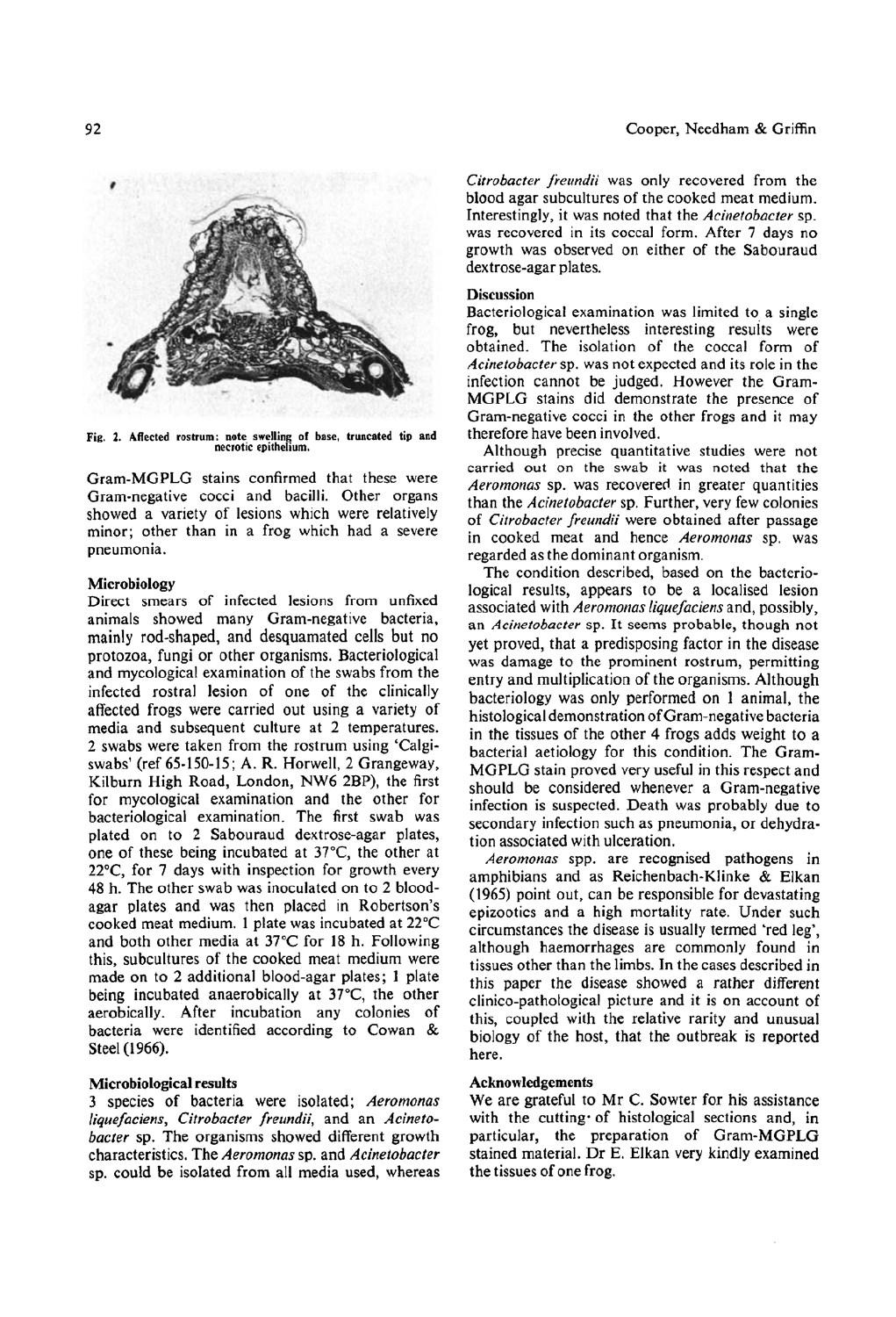

Fig. 2. Affected rostrum: note swelling of base, truncated tip and<br>necrotic epithelium.

Gram-MGPLG stains confirmed that these were Gram-negative cocci and bacilli. Other organs showed a variety of lesions which were relatively minor: other than in a frog which had a severe pneumonia.

### Microbiology

Direct smears of infected lesions from unfixed animals showed many Gram-negative bacteria, mainly rod-shaped, and desquamated cells but no protozoa, fungi or other organisms. Bacteriological and mycological examination of the swabs from the infected rostral lesion of one of the clinically affected frogs were carried out using a variety of media and subsequent culture at 2 temperatures. 2 swabs were taken from the rostrum using 'Calgiswabs' (ref 65-150-15; A. R. Horwell, 2 Grangeway, Kilburn High Road, London, NW6 2BP), the first for mycological examination and the other for bacteriological examination. The first swab was plated on to 2 Sabouraud dextrose-agar plates, one of these being incubated at 37°C, the other at 22°C, for 7 days with inspection for growth every 48 h. The other swab was inoculated on to 2 bloodagar plates and was then placed in Robertson's cooked meat medium. 1 plate was incubated at 22°C and both other media at 37°C for 18 h. Following this, subcultures of the cooked meat medium were made on to 2 additional blood-agar plates; 1 plate being incubated anaerobically at 37°C, the other aerobically. After incubation any colonies of bacteria were identified according to Cowan & Steel (1966).

## Microbiological results

3 species of bacteria were isolated; Aeromonas liquefaciens, Citrobacter freundii, and an Acinetobacter sp. The organisms showed different growth characteristics. The Aeromonas sp. and Acinetobacter sp. could be isolated from all media used, whereas Citrobacter freundii was only recovered from the blood agar subcultures of the cooked meat medium. Interestingly, it was noted that the Acinetobacter sp. was recovered in its coccal form. After 7 days no growth was observed on either of the Sabouraud dextrose-agar plates.

## **Discussion**

Bacteriological examination was limited to a single frog, but nevertheless interesting results were obtained. The isolation of the coccal form of Acinetobacter sp. was not expected and its role in the infection cannot be judged. However the Gram-MGPLG stains did demonstrate the presence of Gram-negative cocci in the other frogs and it may therefore have been involved.

Although precise quantitative studies were not carried out on the swab it was noted that the Aeromonas sp. was recovered in greater quantities than the Acinetobacter sp. Further, very few colonies of Citrobacter freundii were obtained after passage in cooked meat and hence Aeromonas sp. was regarded as the dominant organism.

The condition described, based on the bacteriological results, appears to be a localised lesion associated with Aeromonas liquefaciens and, possibly, an Acinetobacter sp. It seems probable, though not yet proved, that a predisposing factor in the disease was damage to the prominent rostrum, permitting entry and multiplication of the organisms. Although bacteriology was only performed on 1 animal, the histological demonstration of Gram-negative bacteria in the tissues of the other 4 frogs adds weight to a bacterial aetiology for this condition. The Gram-MGPLG stain proved very useful in this respect and should be considered whenever a Gram-negative infection is suspected. Death was probably due to secondary infection such as pneumonia, or dehydration associated with ulceration.

Aeromonas spp. are recognised pathogens in amphibians and as Reichenbach-Klinke & Elkan (1965) point out, can be responsible for devastating epizootics and a high mortality rate. Under such circumstances the disease is usually termed 'red leg', although haemorrhages are commonly found in tissues other than the limbs. In the cases described in this paper the disease showed a rather different clinico-pathological picture and it is on account of this, coupled with the relative rarity and unusual biology of the host, that the outbreak is reported here.

## Acknowledgements

We are grateful to Mr C. Sowter for his assistance with the cutting of histological sections and, in particular, the preparation of Gram-MGPLG stained material. Dr E. Elkan very kindly examined the tissues of one frog.